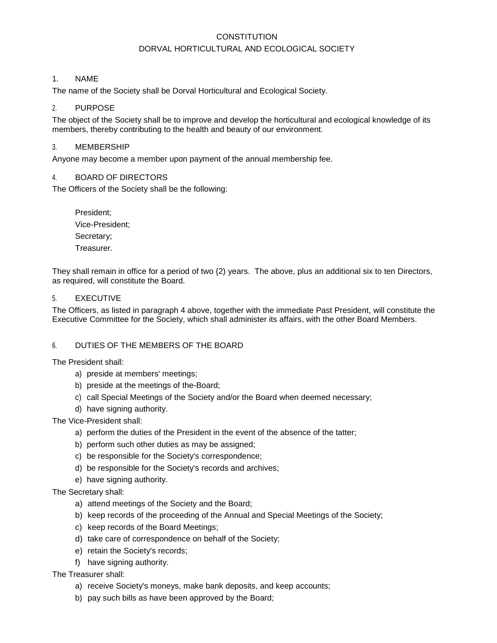# **CONSTITUTION** DORVAL HORTICULTURAL AND ECOLOGICAL SOCIETY

### 1. NAME

The name of the Society shall be Dorval Horticultural and Ecological Society.

### 2. PURPOSE

The object of the Society shall be to improve and develop the horticultural and ecological knowledge of its members, thereby contributing to the health and beauty of our environment.

### 3. MEMBERSHIP

Anyone may become a member upon payment of the annual membership fee.

#### 4. BOARD OF DIRECTORS

The Officers of the Society shall be the following:

President; Vice-President; Secretary; Treasurer.

They shall remain in office for a period of two {2) years. The above, plus an additional six to ten Directors, as required, will constitute the Board.

#### 5. EXECUTIVE

The Officers, as listed in paragraph 4 above, together with the immediate Past President, will constitute the Executive Committee for the Society, which shall administer its affairs, with the other Board Members.

#### 6. DUTIES OF THE MEMBERS OF THE BOARD

The President shall:

- a) preside at members' meetings;
- b) preside at the meetings of the-Board;
- c) call Special Meetings of the Society and/or the Board when deemed necessary;
- d) have signing authority.

The Vice-President shall:

- a) perform the duties of the President in the event of the absence of the tatter;
- b) perform such other duties as may be assigned;
- c) be responsible for the Society's correspondence;
- d) be responsible for the Society's records and archives;
- e) have signing authority.

The Secretary shall:

- a) attend meetings of the Society and the Board;
- b) keep records of the proceeding of the Annual and Special Meetings of the Society;
- c) keep records of the Board Meetings;
- d) take care of correspondence on behalf of the Society;
- e) retain the Society's records;
- f) have signing authority.

#### The Treasurer shall:

- a) receive Society's moneys, make bank deposits, and keep accounts;
- b) pay such bills as have been approved by the Board;